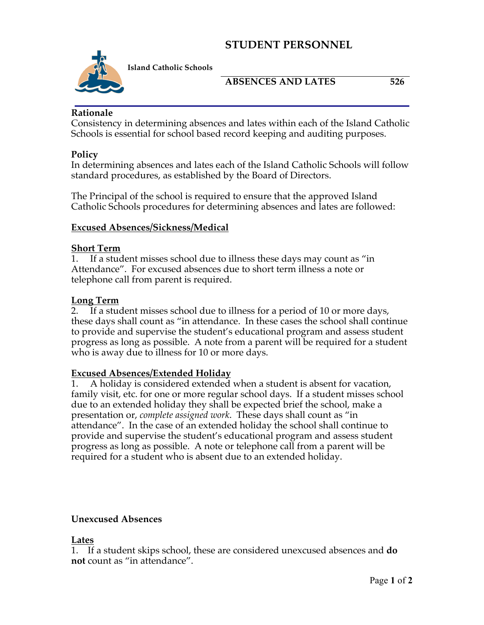# **STUDENT PERSONNEL**



**Island Catholic Schools** 

## ABSENCES AND LATES 526

### **Rationale**

Consistency in determining absences and lates within each of the Island Catholic Schools is essential for school based record keeping and auditing purposes.

### **Policy**

In determining absences and lates each of the Island Catholic Schools will follow standard procedures, as established by the Board of Directors.

The Principal of the school is required to ensure that the approved Island Catholic Schools procedures for determining absences and lates are followed:

#### **Excused Absences/Sickness/Medical**

#### **Short Term**

1. If a student misses school due to illness these days may count as "in Attendance". For excused absences due to short term illness a note or telephone call from parent is required.

#### **Long Term**

2. If a student misses school due to illness for a period of 10 or more days, these days shall count as "in attendance. In these cases the school shall continue to provide and supervise the student's educational program and assess student progress as long as possible. A note from a parent will be required for a student who is away due to illness for 10 or more days.

#### **Excused Absences/Extended Holiday**

1. A holiday is considered extended when a student is absent for vacation, family visit, etc. for one or more regular school days. If a student misses school due to an extended holiday they shall be expected brief the school, make a presentation or, *complete assigned work*. These days shall count as "in attendance". In the case of an extended holiday the school shall continue to provide and supervise the student's educational program and assess student progress as long as possible. A note or telephone call from a parent will be required for a student who is absent due to an extended holiday.

#### **Unexcused Absences**

#### **Lates**

1. If a student skips school, these are considered unexcused absences and **do not** count as "in attendance".